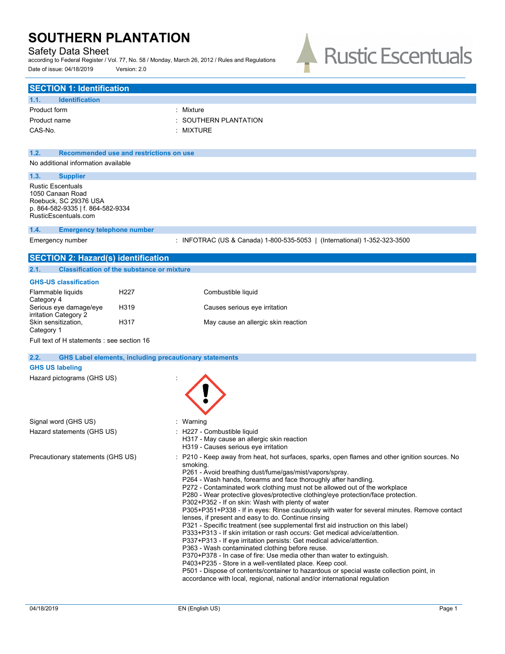## Safety Data Sheet

**SECTION 1: Identification**

according to Federal Register / Vol. 77, No. 58 / Monday, March 26, 2012 / Rules and Regulations Date of issue: 04/18/2019 Version: 2.0



| 1.1.<br><b>Identification</b>                                                                                                      |                                                                                                                                                                                                                                                                                                                                                                                                                                                                                                                                                                                                                                                                                                                                                                                                                                                                                                                                                                                                                                                                                                                                                                                                                                       |
|------------------------------------------------------------------------------------------------------------------------------------|---------------------------------------------------------------------------------------------------------------------------------------------------------------------------------------------------------------------------------------------------------------------------------------------------------------------------------------------------------------------------------------------------------------------------------------------------------------------------------------------------------------------------------------------------------------------------------------------------------------------------------------------------------------------------------------------------------------------------------------------------------------------------------------------------------------------------------------------------------------------------------------------------------------------------------------------------------------------------------------------------------------------------------------------------------------------------------------------------------------------------------------------------------------------------------------------------------------------------------------|
| Product form                                                                                                                       | : Mixture                                                                                                                                                                                                                                                                                                                                                                                                                                                                                                                                                                                                                                                                                                                                                                                                                                                                                                                                                                                                                                                                                                                                                                                                                             |
| Product name                                                                                                                       | SOUTHERN PLANTATION                                                                                                                                                                                                                                                                                                                                                                                                                                                                                                                                                                                                                                                                                                                                                                                                                                                                                                                                                                                                                                                                                                                                                                                                                   |
| CAS-No.                                                                                                                            | : MIXTURE                                                                                                                                                                                                                                                                                                                                                                                                                                                                                                                                                                                                                                                                                                                                                                                                                                                                                                                                                                                                                                                                                                                                                                                                                             |
|                                                                                                                                    |                                                                                                                                                                                                                                                                                                                                                                                                                                                                                                                                                                                                                                                                                                                                                                                                                                                                                                                                                                                                                                                                                                                                                                                                                                       |
| 1.2.                                                                                                                               | Recommended use and restrictions on use                                                                                                                                                                                                                                                                                                                                                                                                                                                                                                                                                                                                                                                                                                                                                                                                                                                                                                                                                                                                                                                                                                                                                                                               |
| No additional information available                                                                                                |                                                                                                                                                                                                                                                                                                                                                                                                                                                                                                                                                                                                                                                                                                                                                                                                                                                                                                                                                                                                                                                                                                                                                                                                                                       |
| 1.3.<br><b>Supplier</b>                                                                                                            |                                                                                                                                                                                                                                                                                                                                                                                                                                                                                                                                                                                                                                                                                                                                                                                                                                                                                                                                                                                                                                                                                                                                                                                                                                       |
| <b>Rustic Escentuals</b><br>1050 Canaan Road<br>Roebuck, SC 29376 USA<br>p. 864-582-9335   f. 864-582-9334<br>RusticEscentuals.com |                                                                                                                                                                                                                                                                                                                                                                                                                                                                                                                                                                                                                                                                                                                                                                                                                                                                                                                                                                                                                                                                                                                                                                                                                                       |
| 1.4.<br><b>Emergency telephone number</b>                                                                                          |                                                                                                                                                                                                                                                                                                                                                                                                                                                                                                                                                                                                                                                                                                                                                                                                                                                                                                                                                                                                                                                                                                                                                                                                                                       |
| Emergency number                                                                                                                   | : INFOTRAC (US & Canada) 1-800-535-5053   (International) 1-352-323-3500                                                                                                                                                                                                                                                                                                                                                                                                                                                                                                                                                                                                                                                                                                                                                                                                                                                                                                                                                                                                                                                                                                                                                              |
| <b>SECTION 2: Hazard(s) identification</b>                                                                                         |                                                                                                                                                                                                                                                                                                                                                                                                                                                                                                                                                                                                                                                                                                                                                                                                                                                                                                                                                                                                                                                                                                                                                                                                                                       |
| 2.1.                                                                                                                               | <b>Classification of the substance or mixture</b>                                                                                                                                                                                                                                                                                                                                                                                                                                                                                                                                                                                                                                                                                                                                                                                                                                                                                                                                                                                                                                                                                                                                                                                     |
| <b>GHS-US classification</b>                                                                                                       |                                                                                                                                                                                                                                                                                                                                                                                                                                                                                                                                                                                                                                                                                                                                                                                                                                                                                                                                                                                                                                                                                                                                                                                                                                       |
| Flammable liquids                                                                                                                  | H <sub>22</sub> 7<br>Combustible liquid                                                                                                                                                                                                                                                                                                                                                                                                                                                                                                                                                                                                                                                                                                                                                                                                                                                                                                                                                                                                                                                                                                                                                                                               |
| Category 4<br>Serious eye damage/eye                                                                                               | H319<br>Causes serious eye irritation                                                                                                                                                                                                                                                                                                                                                                                                                                                                                                                                                                                                                                                                                                                                                                                                                                                                                                                                                                                                                                                                                                                                                                                                 |
| irritation Category 2<br>Skin sensitization,<br>Category 1                                                                         | H317<br>May cause an allergic skin reaction                                                                                                                                                                                                                                                                                                                                                                                                                                                                                                                                                                                                                                                                                                                                                                                                                                                                                                                                                                                                                                                                                                                                                                                           |
| Full text of H statements : see section 16                                                                                         |                                                                                                                                                                                                                                                                                                                                                                                                                                                                                                                                                                                                                                                                                                                                                                                                                                                                                                                                                                                                                                                                                                                                                                                                                                       |
| 2.2.                                                                                                                               | <b>GHS Label elements, including precautionary statements</b>                                                                                                                                                                                                                                                                                                                                                                                                                                                                                                                                                                                                                                                                                                                                                                                                                                                                                                                                                                                                                                                                                                                                                                         |
| <b>GHS US labeling</b>                                                                                                             |                                                                                                                                                                                                                                                                                                                                                                                                                                                                                                                                                                                                                                                                                                                                                                                                                                                                                                                                                                                                                                                                                                                                                                                                                                       |
| Hazard pictograms (GHS US)                                                                                                         |                                                                                                                                                                                                                                                                                                                                                                                                                                                                                                                                                                                                                                                                                                                                                                                                                                                                                                                                                                                                                                                                                                                                                                                                                                       |
|                                                                                                                                    |                                                                                                                                                                                                                                                                                                                                                                                                                                                                                                                                                                                                                                                                                                                                                                                                                                                                                                                                                                                                                                                                                                                                                                                                                                       |
| Signal word (GHS US)                                                                                                               | : Warning                                                                                                                                                                                                                                                                                                                                                                                                                                                                                                                                                                                                                                                                                                                                                                                                                                                                                                                                                                                                                                                                                                                                                                                                                             |
| Hazard statements (GHS US)                                                                                                         | : H227 - Combustible liquid<br>H317 - May cause an allergic skin reaction<br>H319 - Causes serious eye irritation                                                                                                                                                                                                                                                                                                                                                                                                                                                                                                                                                                                                                                                                                                                                                                                                                                                                                                                                                                                                                                                                                                                     |
| Precautionary statements (GHS US)                                                                                                  | : P210 - Keep away from heat, hot surfaces, sparks, open flames and other ignition sources. No<br>smoking.<br>P261 - Avoid breathing dust/fume/gas/mist/vapors/spray.<br>P264 - Wash hands, forearms and face thoroughly after handling.<br>P272 - Contaminated work clothing must not be allowed out of the workplace<br>P280 - Wear protective gloves/protective clothing/eye protection/face protection.<br>P302+P352 - If on skin: Wash with plenty of water<br>P305+P351+P338 - If in eyes: Rinse cautiously with water for several minutes. Remove contact<br>lenses, if present and easy to do. Continue rinsing<br>P321 - Specific treatment (see supplemental first aid instruction on this label)<br>P333+P313 - If skin irritation or rash occurs: Get medical advice/attention.<br>P337+P313 - If eye irritation persists: Get medical advice/attention.<br>P363 - Wash contaminated clothing before reuse.<br>P370+P378 - In case of fire: Use media other than water to extinguish.<br>P403+P235 - Store in a well-ventilated place. Keep cool.<br>P501 - Dispose of contents/container to hazardous or special waste collection point, in<br>accordance with local, regional, national and/or international regulation |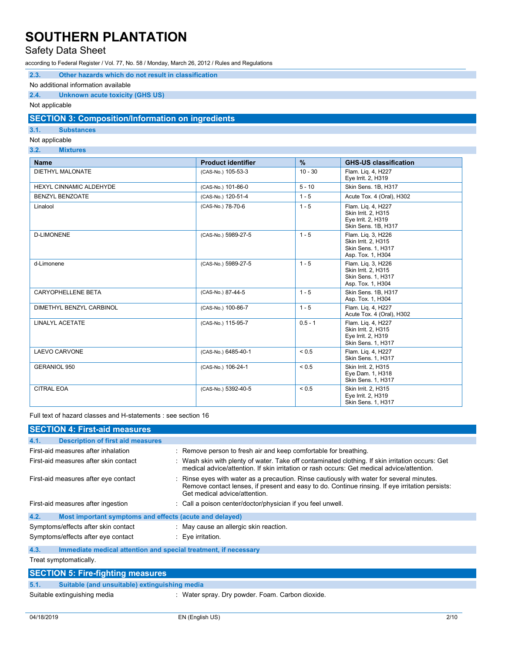## Safety Data Sheet

according to Federal Register / Vol. 77, No. 58 / Monday, March 26, 2012 / Rules and Regulations

| 2.3. |  | Other hazards which do not result in classification |  |  |  |  |  |
|------|--|-----------------------------------------------------|--|--|--|--|--|
|------|--|-----------------------------------------------------|--|--|--|--|--|

#### No additional information available

### **2.4. Unknown acute toxicity (GHS US)**

Not applicable

### **SECTION 3: Composition/Information on ingredients**

**3.1. Substances**

Not applicable

### **3.2. Mixtures**

| <b>Name</b>              | <b>Product identifier</b> | $\frac{9}{6}$ | <b>GHS-US classification</b>                                                           |
|--------------------------|---------------------------|---------------|----------------------------------------------------------------------------------------|
| <b>DIETHYL MALONATE</b>  | (CAS-No.) 105-53-3        | $10 - 30$     | Flam. Lig. 4, H227<br>Eye Irrit. 2, H319                                               |
| HEXYL CINNAMIC ALDEHYDE  | (CAS-No.) 101-86-0        | $5 - 10$      | Skin Sens. 1B, H317                                                                    |
| <b>BENZYL BENZOATE</b>   | (CAS-No.) 120-51-4        | $1 - 5$       | Acute Tox. 4 (Oral), H302                                                              |
| Linalool                 | (CAS-No.) 78-70-6         | $1 - 5$       | Flam. Lig. 4, H227<br>Skin Irrit. 2, H315<br>Eye Irrit. 2, H319<br>Skin Sens. 1B, H317 |
| <b>D-LIMONENE</b>        | (CAS-No.) 5989-27-5       | $1 - 5$       | Flam. Lig. 3, H226<br>Skin Irrit. 2, H315<br>Skin Sens. 1, H317<br>Asp. Tox. 1, H304   |
| d-Limonene               | (CAS-No.) 5989-27-5       | $1 - 5$       | Flam. Lig. 3, H226<br>Skin Irrit. 2, H315<br>Skin Sens. 1, H317<br>Asp. Tox. 1, H304   |
| CARYOPHELLENE BETA       | (CAS-No.) 87-44-5         | $1 - 5$       | Skin Sens. 1B, H317<br>Asp. Tox. 1, H304                                               |
| DIMETHYL BENZYL CARBINOL | (CAS-No.) 100-86-7        | $1 - 5$       | Flam. Lig. 4, H227<br>Acute Tox. 4 (Oral), H302                                        |
| <b>LINALYL ACETATE</b>   | (CAS-No.) 115-95-7        | $0.5 - 1$     | Flam. Lig. 4, H227<br>Skin Irrit. 2, H315<br>Eye Irrit. 2, H319<br>Skin Sens. 1, H317  |
| <b>LAEVO CARVONE</b>     | (CAS-No.) 6485-40-1       | ${}_{0.5}$    | Flam. Lig. 4, H227<br>Skin Sens. 1, H317                                               |
| <b>GERANIOL 950</b>      | (CAS-No.) 106-24-1        | ${}_{0.5}$    | Skin Irrit. 2, H315<br>Eye Dam. 1, H318<br>Skin Sens. 1, H317                          |
| <b>CITRAL EOA</b>        | (CAS-No.) 5392-40-5       | ${}_{0.5}$    | Skin Irrit. 2, H315<br>Eye Irrit. 2, H319<br>Skin Sens. 1, H317                        |

Full text of hazard classes and H-statements : see section 16

| <b>SECTION 4: First-aid measures</b>                                                                                                                                                                                                                                  |                                                                                                                                                                                                |  |  |  |
|-----------------------------------------------------------------------------------------------------------------------------------------------------------------------------------------------------------------------------------------------------------------------|------------------------------------------------------------------------------------------------------------------------------------------------------------------------------------------------|--|--|--|
| 4.1.<br><b>Description of first aid measures</b>                                                                                                                                                                                                                      |                                                                                                                                                                                                |  |  |  |
| First-aid measures after inhalation                                                                                                                                                                                                                                   | : Remove person to fresh air and keep comfortable for breathing.                                                                                                                               |  |  |  |
| First-aid measures after skin contact                                                                                                                                                                                                                                 | : Wash skin with plenty of water. Take off contaminated clothing. If skin irritation occurs: Get<br>medical advice/attention. If skin irritation or rash occurs: Get medical advice/attention. |  |  |  |
| : Rinse eyes with water as a precaution. Rinse cautiously with water for several minutes.<br>First-aid measures after eye contact<br>Remove contact lenses, if present and easy to do. Continue rinsing. If eye irritation persists:<br>Get medical advice/attention. |                                                                                                                                                                                                |  |  |  |
| First-aid measures after ingestion                                                                                                                                                                                                                                    | : Call a poison center/doctor/physician if you feel unwell.                                                                                                                                    |  |  |  |
| 4.2.<br>Most important symptoms and effects (acute and delayed)                                                                                                                                                                                                       |                                                                                                                                                                                                |  |  |  |
| Symptoms/effects after skin contact                                                                                                                                                                                                                                   | : May cause an allergic skin reaction.                                                                                                                                                         |  |  |  |
| Symptoms/effects after eye contact<br>: Eye irritation.                                                                                                                                                                                                               |                                                                                                                                                                                                |  |  |  |
| 4.3.<br>Immediate medical attention and special treatment, if necessary                                                                                                                                                                                               |                                                                                                                                                                                                |  |  |  |
| Treat symptomatically.                                                                                                                                                                                                                                                |                                                                                                                                                                                                |  |  |  |
| <b>SECTION 5: Fire-fighting measures</b>                                                                                                                                                                                                                              |                                                                                                                                                                                                |  |  |  |

### **5.1. Suitable (and unsuitable) extinguishing media**

Suitable extinguishing media : Water spray. Dry powder. Foam. Carbon dioxide.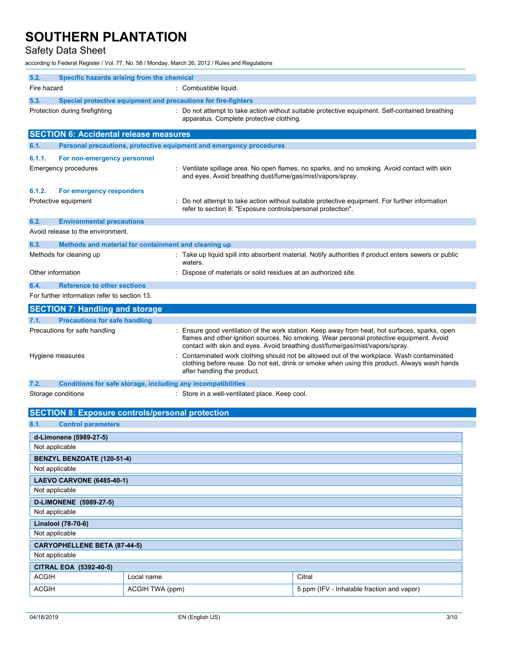# Safety Data Sheet

according to Federal Register / Vol. 77, No. 58 / Monday, March 26, 2012 / Rules and Regulations

| 5.2.              | Specific hazards arising from the chemical                          |                                                                                                                                                                                                                                                                            |
|-------------------|---------------------------------------------------------------------|----------------------------------------------------------------------------------------------------------------------------------------------------------------------------------------------------------------------------------------------------------------------------|
| Fire hazard       |                                                                     | : Combustible liquid.                                                                                                                                                                                                                                                      |
| 5.3.              | Special protective equipment and precautions for fire-fighters      |                                                                                                                                                                                                                                                                            |
|                   | Protection during firefighting                                      | : Do not attempt to take action without suitable protective equipment. Self-contained breathing<br>apparatus. Complete protective clothing.                                                                                                                                |
|                   | <b>SECTION 6: Accidental release measures</b>                       |                                                                                                                                                                                                                                                                            |
| 6.1.              | Personal precautions, protective equipment and emergency procedures |                                                                                                                                                                                                                                                                            |
| 6.1.1.            | For non-emergency personnel                                         |                                                                                                                                                                                                                                                                            |
|                   | Emergency procedures                                                | : Ventilate spillage area. No open flames, no sparks, and no smoking. Avoid contact with skin<br>and eyes. Avoid breathing dust/fume/gas/mist/vapors/spray.                                                                                                                |
| 6.1.2.            | For emergency responders                                            |                                                                                                                                                                                                                                                                            |
|                   | Protective equipment                                                | Do not attempt to take action without suitable protective equipment. For further information<br>refer to section 8: "Exposure controls/personal protection".                                                                                                               |
| 6.2.              | <b>Environmental precautions</b>                                    |                                                                                                                                                                                                                                                                            |
|                   | Avoid release to the environment.                                   |                                                                                                                                                                                                                                                                            |
| 6.3.              | Methods and material for containment and cleaning up                |                                                                                                                                                                                                                                                                            |
|                   | Methods for cleaning up                                             | Take up liquid spill into absorbent material. Notify authorities if product enters sewers or public<br>waters.                                                                                                                                                             |
| Other information |                                                                     | Dispose of materials or solid residues at an authorized site.                                                                                                                                                                                                              |
| 6.4.              | <b>Reference to other sections</b>                                  |                                                                                                                                                                                                                                                                            |
|                   | For further information refer to section 13.                        |                                                                                                                                                                                                                                                                            |
|                   | <b>SECTION 7: Handling and storage</b>                              |                                                                                                                                                                                                                                                                            |
| 7.1.              | <b>Precautions for safe handling</b>                                |                                                                                                                                                                                                                                                                            |
|                   | Precautions for safe handling                                       | : Ensure good ventilation of the work station. Keep away from heat, hot surfaces, sparks, open<br>flames and other ignition sources. No smoking. Wear personal protective equipment. Avoid<br>contact with skin and eyes. Avoid breathing dust/fume/gas/mist/vapors/spray. |
|                   | Hygiene measures                                                    | Contaminated work clothing should not be allowed out of the workplace. Wash contaminated<br>clothing before reuse. Do not eat, drink or smoke when using this product. Always wash hands<br>after handling the product.                                                    |
| 7.2.              | Conditions for safe storage, including any incompatibilities        |                                                                                                                                                                                                                                                                            |
|                   | Storage conditions                                                  | : Store in a well-ventilated place. Keep cool.                                                                                                                                                                                                                             |
|                   | <b>SECTION 8: Exposure controls/personal protection</b>             |                                                                                                                                                                                                                                                                            |
| 8.1.              | <b>Control parameters</b>                                           |                                                                                                                                                                                                                                                                            |
|                   | d-Limonene (5989-27-5)                                              |                                                                                                                                                                                                                                                                            |
| Not applicable    |                                                                     |                                                                                                                                                                                                                                                                            |
|                   | BENZYL BENZOATE (120-51-4)                                          |                                                                                                                                                                                                                                                                            |
| Not applicable    |                                                                     |                                                                                                                                                                                                                                                                            |
|                   | <b>LAEVO CARVONE (6485-40-1)</b>                                    |                                                                                                                                                                                                                                                                            |
| Not applicable    |                                                                     |                                                                                                                                                                                                                                                                            |
|                   | D-LIMONENE (5989-27-5)                                              |                                                                                                                                                                                                                                                                            |
| Not applicable    |                                                                     |                                                                                                                                                                                                                                                                            |
|                   | Linalool (78-70-6)                                                  |                                                                                                                                                                                                                                                                            |
| Not applicable    |                                                                     |                                                                                                                                                                                                                                                                            |

| Not applicable                      |                 |                                            |  |  |
|-------------------------------------|-----------------|--------------------------------------------|--|--|
| <b>CARYOPHELLENE BETA (87-44-5)</b> |                 |                                            |  |  |
| Not applicable                      |                 |                                            |  |  |
| CITRAL EOA (5392-40-5)              |                 |                                            |  |  |
| <b>ACGIH</b>                        | Local name      | Citral                                     |  |  |
| <b>ACGIH</b>                        | ACGIH TWA (ppm) | 5 ppm (IFV - Inhalable fraction and vapor) |  |  |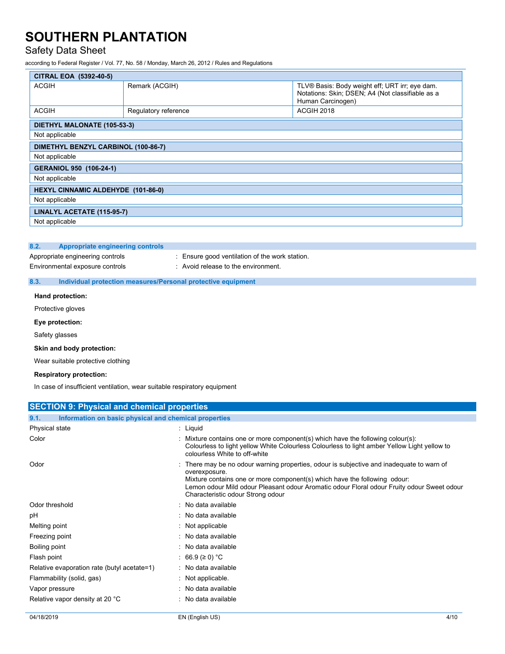## Safety Data Sheet

according to Federal Register / Vol. 77, No. 58 / Monday, March 26, 2012 / Rules and Regulations

| CITRAL EOA (5392-40-5)                    |                      |                                                                                                                         |  |  |  |
|-------------------------------------------|----------------------|-------------------------------------------------------------------------------------------------------------------------|--|--|--|
| <b>ACGIH</b>                              | Remark (ACGIH)       | TLV® Basis: Body weight eff; URT irr; eye dam.<br>Notations: Skin; DSEN; A4 (Not classifiable as a<br>Human Carcinogen) |  |  |  |
| <b>ACGIH</b>                              | Regulatory reference | ACGIH 2018                                                                                                              |  |  |  |
| DIETHYL MALONATE (105-53-3)               |                      |                                                                                                                         |  |  |  |
| Not applicable                            |                      |                                                                                                                         |  |  |  |
| DIMETHYL BENZYL CARBINOL (100-86-7)       |                      |                                                                                                                         |  |  |  |
| Not applicable                            |                      |                                                                                                                         |  |  |  |
| GERANIOL 950 (106-24-1)                   |                      |                                                                                                                         |  |  |  |
| Not applicable                            |                      |                                                                                                                         |  |  |  |
| <b>HEXYL CINNAMIC ALDEHYDE (101-86-0)</b> |                      |                                                                                                                         |  |  |  |
| Not applicable                            |                      |                                                                                                                         |  |  |  |
| LINALYL ACETATE (115-95-7)                |                      |                                                                                                                         |  |  |  |
| Not applicable                            |                      |                                                                                                                         |  |  |  |

#### **8.2. Appropriate engineering controls**

Appropriate engineering controls : Ensure good ventilation of the work station. Environmental exposure controls : Avoid release to the environment.

### **8.3. Individual protection measures/Personal protective equipment**

#### **Hand protection:**

Protective gloves

#### **Eye protection:**

Safety glasses

#### **Skin and body protection:**

Wear suitable protective clothing

### **Respiratory protection:**

In case of insufficient ventilation, wear suitable respiratory equipment

| <b>SECTION 9: Physical and chemical properties</b>            |                                                                                                                                                                                                                                                                                                                          |
|---------------------------------------------------------------|--------------------------------------------------------------------------------------------------------------------------------------------------------------------------------------------------------------------------------------------------------------------------------------------------------------------------|
| 9.1.<br>Information on basic physical and chemical properties |                                                                                                                                                                                                                                                                                                                          |
| Physical state                                                | : Liquid                                                                                                                                                                                                                                                                                                                 |
| Color                                                         | : Mixture contains one or more component(s) which have the following colour(s):<br>Colourless to light yellow White Colourless Colourless to light amber Yellow Light yellow to<br>colourless White to off-white                                                                                                         |
| Odor                                                          | There may be no odour warning properties, odour is subjective and inadequate to warn of<br>overexposure.<br>Mixture contains one or more component(s) which have the following odour:<br>Lemon odour Mild odour Pleasant odour Aromatic odour Floral odour Fruity odour Sweet odour<br>Characteristic odour Strong odour |
| Odor threshold                                                | : No data available                                                                                                                                                                                                                                                                                                      |
| pH                                                            | : No data available                                                                                                                                                                                                                                                                                                      |
| Melting point                                                 | $:$ Not applicable                                                                                                                                                                                                                                                                                                       |
| Freezing point                                                | : No data available                                                                                                                                                                                                                                                                                                      |
| Boiling point                                                 | : No data available                                                                                                                                                                                                                                                                                                      |
| Flash point                                                   | : 66.9 (≥ 0) °C                                                                                                                                                                                                                                                                                                          |
| Relative evaporation rate (butyl acetate=1)                   | : No data available                                                                                                                                                                                                                                                                                                      |
| Flammability (solid, gas)                                     | $:$ Not applicable.                                                                                                                                                                                                                                                                                                      |
| Vapor pressure                                                | : No data available                                                                                                                                                                                                                                                                                                      |
| Relative vapor density at 20 °C                               | : No data available                                                                                                                                                                                                                                                                                                      |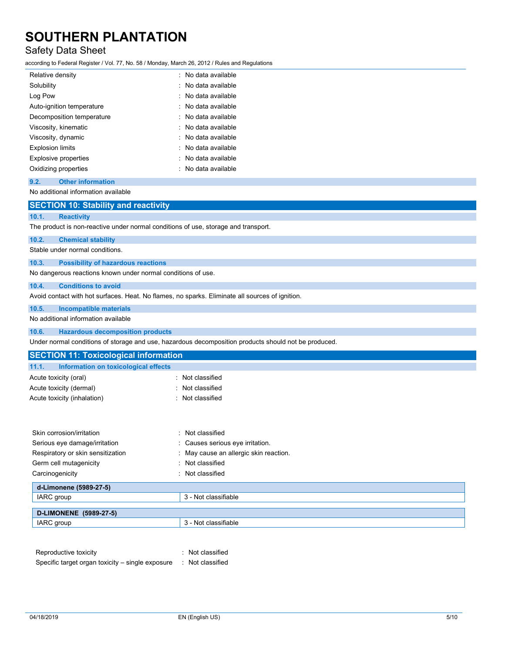# Safety Data Sheet

according to Federal Register / Vol. 77, No. 58 / Monday, March 26, 2012 / Rules and Regulations

| Relative density            | : No data available       |
|-----------------------------|---------------------------|
| Solubility                  | : No data available       |
| Log Pow                     | : No data available       |
| Auto-ignition temperature   | : No data available       |
| Decomposition temperature   | $\cdot$ No data available |
| Viscosity, kinematic        | : No data available       |
| Viscosity, dynamic          | : No data available       |
| <b>Explosion limits</b>     | : No data available       |
| <b>Explosive properties</b> | $\cdot$ No data available |
| Oxidizing properties        | : No data available       |

### **9.2. Other information**

No additional information available

## **SECTION 10: Stability and reactivity**

#### **10.1. Reactivity**

The product is non-reactive under normal conditions of use, storage and transport.

### **10.2. Chemical stability**

Stable under normal conditions.

#### **10.3. Possibility of hazardous reactions**

No dangerous reactions known under normal conditions of use.

### **10.4. Conditions to avoid**

Avoid contact with hot surfaces. Heat. No flames, no sparks. Eliminate all sources of ignition.

### **10.5. Incompatible materials**

No additional information available

### **10.6. Hazardous decomposition products**

Under normal conditions of storage and use, hazardous decomposition products should not be produced.

| <b>SECTION 11: Toxicological information</b>  |                                        |
|-----------------------------------------------|----------------------------------------|
| 11.1.<br>Information on toxicological effects |                                        |
| Acute toxicity (oral)                         | : Not classified                       |
| Acute toxicity (dermal)                       | : Not classified                       |
| Acute toxicity (inhalation)                   | : Not classified                       |
|                                               |                                        |
| Skin corrosion/irritation                     | : Not classified                       |
| Serious eye damage/irritation                 | : Causes serious eye irritation.       |
| Respiratory or skin sensitization             | : May cause an allergic skin reaction. |
| Germ cell mutagenicity                        | : Not classified                       |
| Carcinogenicity                               | : Not classified                       |
| d-Limonene (5989-27-5)                        |                                        |
| IARC group                                    | 3 - Not classifiable                   |
| <b>D-LIMONENE</b> (5989-27-5)                 |                                        |
| IARC group                                    | 3 - Not classifiable                   |

| Reproductive toxicity                            | : Not classified |
|--------------------------------------------------|------------------|
| Specific target organ toxicity – single exposure | : Not classified |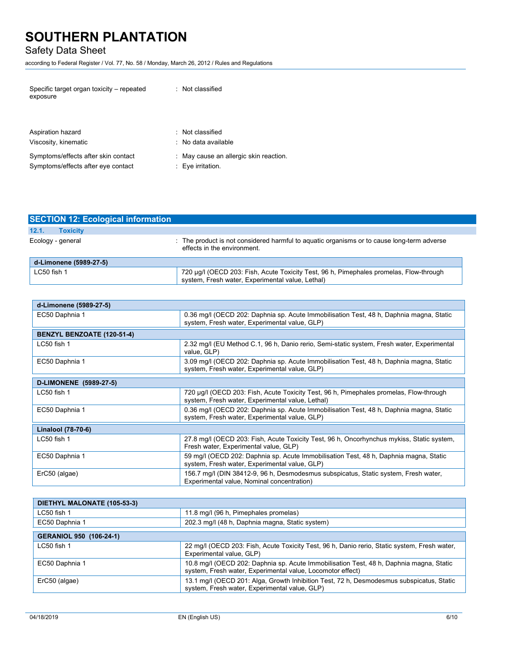## Safety Data Sheet

according to Federal Register / Vol. 77, No. 58 / Monday, March 26, 2012 / Rules and Regulations

| Specific target organ toxicity – repeated<br>exposure | : Not classified                       |
|-------------------------------------------------------|----------------------------------------|
| Aspiration hazard                                     | : Not classified                       |
| Viscosity, kinematic                                  | : No data available                    |
| Symptoms/effects after skin contact                   | : May cause an allergic skin reaction. |
| Symptoms/effects after eye contact                    | $: Eve$ irritation.                    |

| <b>SECTION 12: Ecological information</b> |                                                                                                                                            |
|-------------------------------------------|--------------------------------------------------------------------------------------------------------------------------------------------|
| 12.1.<br><b>Toxicity</b>                  |                                                                                                                                            |
| Ecology - general                         | : The product is not considered harmful to aguatic organisms or to cause long-term adverse<br>effects in the environment.                  |
| d-Limonene (5989-27-5)                    |                                                                                                                                            |
| LC50 fish 1                               | 720 µg/l (OECD 203: Fish, Acute Toxicity Test, 96 h, Pimephales promelas, Flow-through<br>system, Fresh water, Experimental value, Lethal) |

| d-Limonene (5989-27-5)            |                                                                                                                                            |  |
|-----------------------------------|--------------------------------------------------------------------------------------------------------------------------------------------|--|
| EC50 Daphnia 1                    | 0.36 mg/l (OECD 202: Daphnia sp. Acute Immobilisation Test, 48 h, Daphnia magna, Static<br>system, Fresh water, Experimental value, GLP)   |  |
| <b>BENZYL BENZOATE (120-51-4)</b> |                                                                                                                                            |  |
| $LC50$ fish 1                     | 2.32 mg/l (EU Method C.1, 96 h, Danio rerio, Semi-static system, Fresh water, Experimental<br>value, GLP)                                  |  |
| EC50 Daphnia 1                    | 3.09 mg/l (OECD 202: Daphnia sp. Acute Immobilisation Test, 48 h, Daphnia magna, Static<br>system, Fresh water, Experimental value, GLP)   |  |
| D-LIMONENE (5989-27-5)            |                                                                                                                                            |  |
| LC50 fish 1                       | 720 µg/l (OECD 203: Fish, Acute Toxicity Test, 96 h, Pimephales promelas, Flow-through<br>system, Fresh water, Experimental value, Lethal) |  |
| EC50 Daphnia 1                    | 0.36 mg/l (OECD 202: Daphnia sp. Acute Immobilisation Test, 48 h, Daphnia magna, Static<br>system, Fresh water, Experimental value, GLP)   |  |
| Linalool (78-70-6)                |                                                                                                                                            |  |
| LC50 fish 1                       | 27.8 mg/l (OECD 203: Fish, Acute Toxicity Test, 96 h, Oncorhynchus mykiss, Static system,<br>Fresh water, Experimental value, GLP)         |  |
| EC50 Daphnia 1                    | 59 mg/l (OECD 202: Daphnia sp. Acute Immobilisation Test, 48 h, Daphnia magna, Static<br>system, Fresh water, Experimental value, GLP)     |  |
| ErC50 (algae)                     | 156.7 mg/l (DIN 38412-9, 96 h, Desmodesmus subspicatus, Static system, Fresh water,<br>Experimental value, Nominal concentration)          |  |

| DIETHYL MALONATE (105-53-3)    |                                                                                                                                                       |  |
|--------------------------------|-------------------------------------------------------------------------------------------------------------------------------------------------------|--|
| LC50 fish 1                    | 11.8 mg/l (96 h, Pimephales promelas)                                                                                                                 |  |
| EC50 Daphnia 1                 | 202.3 mg/l (48 h, Daphnia magna, Static system)                                                                                                       |  |
| <b>GERANIOL 950 (106-24-1)</b> |                                                                                                                                                       |  |
| LC50 fish 1                    | 22 mg/l (OECD 203: Fish, Acute Toxicity Test, 96 h, Danio rerio, Static system, Fresh water,<br>Experimental value, GLP)                              |  |
| EC50 Daphnia 1                 | 10.8 mg/l (OECD 202: Daphnia sp. Acute Immobilisation Test, 48 h, Daphnia magna, Static<br>system, Fresh water, Experimental value, Locomotor effect) |  |
| ErC50 (algae)                  | 13.1 mg/l (OECD 201: Alga, Growth Inhibition Test, 72 h, Desmodesmus subspicatus, Static<br>system, Fresh water, Experimental value, GLP)             |  |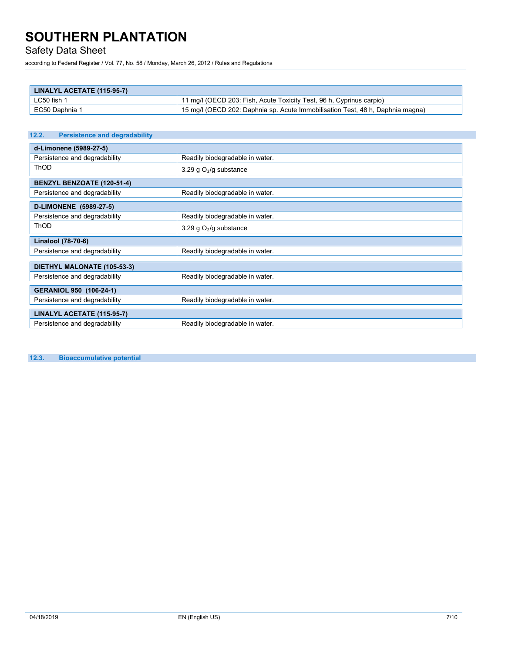# Safety Data Sheet

according to Federal Register / Vol. 77, No. 58 / Monday, March 26, 2012 / Rules and Regulations

| LINALYL ACETATE (115-95-7) |                                                                                |
|----------------------------|--------------------------------------------------------------------------------|
| LC50 fish 1                | 11 mg/l (OECD 203: Fish, Acute Toxicity Test, 96 h, Cyprinus carpio)           |
| EC50 Daphnia 1             | 15 mg/l (OECD 202: Daphnia sp. Acute Immobilisation Test, 48 h, Daphnia magna) |

| <b>Persistence and degradability</b><br>12.2. |                                 |  |
|-----------------------------------------------|---------------------------------|--|
| d-Limonene (5989-27-5)                        |                                 |  |
| Persistence and degradability                 | Readily biodegradable in water. |  |
| <b>ThOD</b>                                   | 3.29 g $O2/g$ substance         |  |
| <b>BENZYL BENZOATE (120-51-4)</b>             |                                 |  |
| Persistence and degradability                 | Readily biodegradable in water. |  |
| <b>D-LIMONENE</b> (5989-27-5)                 |                                 |  |
| Persistence and degradability                 | Readily biodegradable in water. |  |
| <b>ThOD</b>                                   | 3.29 g $O2/g$ substance         |  |
| Linalool (78-70-6)                            |                                 |  |
| Persistence and degradability                 | Readily biodegradable in water. |  |
| DIETHYL MALONATE (105-53-3)                   |                                 |  |
| Persistence and degradability                 | Readily biodegradable in water. |  |
| GERANIOL 950 (106-24-1)                       |                                 |  |
| Persistence and degradability                 | Readily biodegradable in water. |  |
| LINALYL ACETATE (115-95-7)                    |                                 |  |
| Persistence and degradability                 | Readily biodegradable in water. |  |

**12.3. Bioaccumulative potential**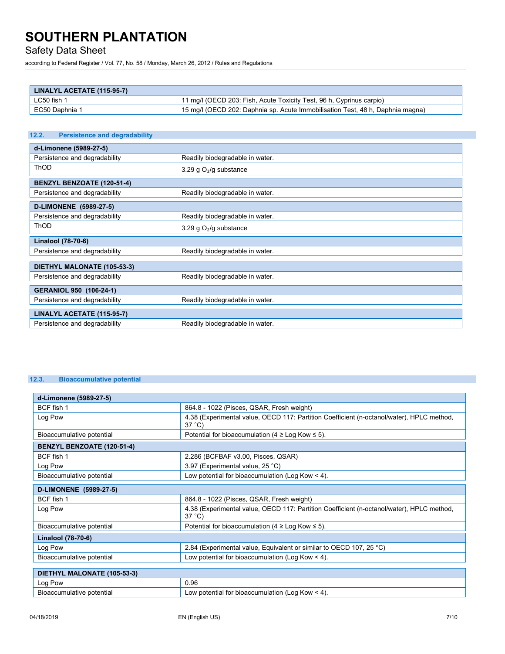## Safety Data Sheet

according to Federal Register / Vol. 77, No. 58 / Monday, March 26, 2012 / Rules and Regulations

| LINALYL ACETATE (115-95-7) |                                                                                |
|----------------------------|--------------------------------------------------------------------------------|
| LC50 fish 1                | 11 mg/l (OECD 203: Fish, Acute Toxicity Test, 96 h, Cyprinus carpio)           |
| EC50 Daphnia 1             | 15 mg/l (OECD 202: Daphnia sp. Acute Immobilisation Test, 48 h, Daphnia magna) |

## **12.2. Persistence and degradability d-Limonene (5989-27-5)** Persistence and degradability **Readily biodegradable in water.** ThOD  $3.29 g O<sub>2</sub>/g$  substance **BENZYL BENZOATE (120-51-4)** Persistence and degradability **Readily biodegradable in water. D-LIMONENE (5989-27-5)** Persistence and degradability **Readily biodegradable in water.** ThOD  $3.29 \text{ g O}_2\text{/g substance}$ **Linalool (78-70-6)** Persistence and degradability Readily biodegradable in water. **DIETHYL MALONATE (105-53-3)** Persistence and degradability **Readily biodegradable in water. GERANIOL 950 (106-24-1)** Persistence and degradability Readily biodegradable in water. **LINALYL ACETATE (115-95-7)** Persistence and degradability **Readily biodegradable in water.**

### **12.3. Bioaccumulative potential**

| d-Limonene (5989-27-5)            |                                                                                                              |  |
|-----------------------------------|--------------------------------------------------------------------------------------------------------------|--|
| BCF fish 1                        | 864.8 - 1022 (Pisces, QSAR, Fresh weight)                                                                    |  |
| Log Pow                           | 4.38 (Experimental value, OECD 117: Partition Coefficient (n-octanol/water), HPLC method,<br>$37^{\circ}$ C) |  |
| Bioaccumulative potential         | Potential for bioaccumulation (4 $\geq$ Log Kow $\leq$ 5).                                                   |  |
| <b>BENZYL BENZOATE (120-51-4)</b> |                                                                                                              |  |
| BCF fish 1                        | 2.286 (BCFBAF v3.00, Pisces, QSAR)                                                                           |  |
| Log Pow                           | 3.97 (Experimental value, 25 °C)                                                                             |  |
| Bioaccumulative potential         | Low potential for bioaccumulation (Log Kow $\leq$ 4).                                                        |  |
| D-LIMONENE (5989-27-5)            |                                                                                                              |  |
| BCF fish 1                        | 864.8 - 1022 (Pisces, QSAR, Fresh weight)                                                                    |  |
| Log Pow                           | 4.38 (Experimental value, OECD 117: Partition Coefficient (n-octanol/water), HPLC method,<br>$37^{\circ}$ C) |  |
| Bioaccumulative potential         | Potential for bioaccumulation (4 $\geq$ Log Kow $\leq$ 5).                                                   |  |
| Linalool (78-70-6)                |                                                                                                              |  |
| Log Pow                           | 2.84 (Experimental value, Equivalent or similar to OECD 107, 25 °C)                                          |  |
| Bioaccumulative potential         | Low potential for bioaccumulation (Log Kow $\leq$ 4).                                                        |  |
|                                   |                                                                                                              |  |
| DIETHYL MALONATE (105-53-3)       |                                                                                                              |  |
| Log Pow                           | 0.96                                                                                                         |  |
| Bioaccumulative potential         | Low potential for bioaccumulation (Log Kow $\leq$ 4).                                                        |  |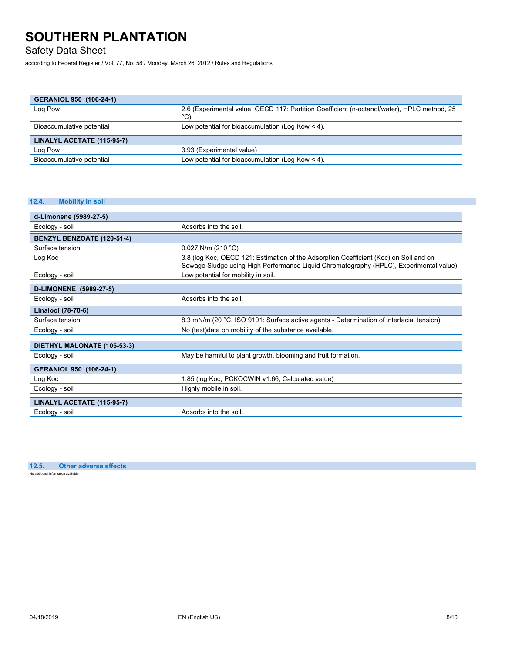Safety Data Sheet

according to Federal Register / Vol. 77, No. 58 / Monday, March 26, 2012 / Rules and Regulations

| GERANIOL 950 (106-24-1)    |                                                                                                    |  |
|----------------------------|----------------------------------------------------------------------------------------------------|--|
| Log Pow                    | 2.6 (Experimental value, OECD 117: Partition Coefficient (n-octanol/water), HPLC method, 25<br>°C) |  |
| Bioaccumulative potential  | Low potential for bioaccumulation (Log Kow $\leq$ 4).                                              |  |
|                            |                                                                                                    |  |
| LINALYL ACETATE (115-95-7) |                                                                                                    |  |
| Log Pow                    | 3.93 (Experimental value)                                                                          |  |
| Bioaccumulative potential  | Low potential for bioaccumulation (Log Kow $<$ 4).                                                 |  |

### **12.4. Mobility in soil**

| d-Limonene (5989-27-5)      |                                                                                                                                                                                 |  |
|-----------------------------|---------------------------------------------------------------------------------------------------------------------------------------------------------------------------------|--|
| Ecology - soil              | Adsorbs into the soil.                                                                                                                                                          |  |
| BENZYL BENZOATE (120-51-4)  |                                                                                                                                                                                 |  |
| Surface tension             | $0.027$ N/m (210 °C)                                                                                                                                                            |  |
| Log Koc                     | 3.8 (log Koc, OECD 121: Estimation of the Adsorption Coefficient (Koc) on Soil and on<br>Sewage Sludge using High Performance Liquid Chromatography (HPLC), Experimental value) |  |
| Ecology - soil              | Low potential for mobility in soil.                                                                                                                                             |  |
| D-LIMONENE (5989-27-5)      |                                                                                                                                                                                 |  |
| Ecology - soil              | Adsorbs into the soil.                                                                                                                                                          |  |
| Linalool (78-70-6)          |                                                                                                                                                                                 |  |
| Surface tension             | 8.3 mN/m (20 °C, ISO 9101: Surface active agents - Determination of interfacial tension)                                                                                        |  |
| Ecology - soil              | No (test)data on mobility of the substance available.                                                                                                                           |  |
| DIETHYL MALONATE (105-53-3) |                                                                                                                                                                                 |  |
| Ecology - soil              | May be harmful to plant growth, blooming and fruit formation.                                                                                                                   |  |
| GERANIOL 950 (106-24-1)     |                                                                                                                                                                                 |  |
| Log Koc                     | 1.85 (log Koc, PCKOCWIN v1.66, Calculated value)                                                                                                                                |  |
| Ecology - soil              | Highly mobile in soil.                                                                                                                                                          |  |
| LINALYL ACETATE (115-95-7)  |                                                                                                                                                                                 |  |
| Ecology - soil              | Adsorbs into the soil.                                                                                                                                                          |  |

**12.5. Other adverse effects** No additional information available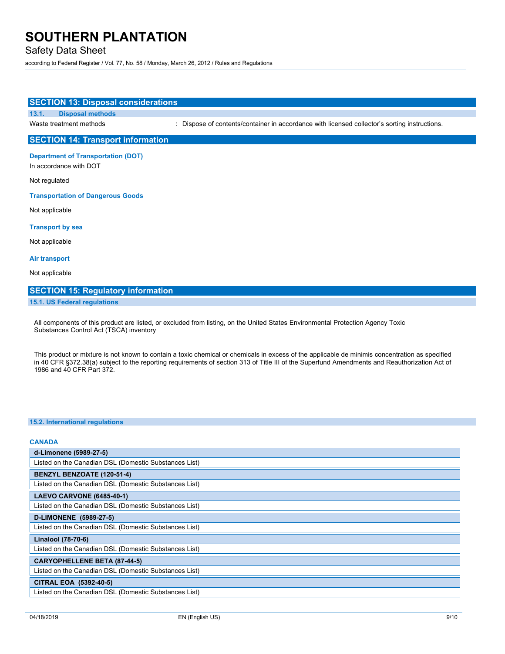**SECTION 13: Disposal considerations**

## Safety Data Sheet

**13.1. Disposal methods**

according to Federal Register / Vol. 77, No. 58 / Monday, March 26, 2012 / Rules and Regulations

**SECTION 14: Transport information Department of Transportation (DOT)** In accordance with DOT Not regulated **Transportation of Dangerous Goods** Not applicable **Transport by sea** Not applicable **Air transport** Not applicable **SECTION 15: Regulatory information**

Waste treatment methods : Dispose of contents/container in accordance with licensed collector's sorting instructions.

#### **15.1. US Federal regulations**

All components of this product are listed, or excluded from listing, on the United States Environmental Protection Agency Toxic Substances Control Act (TSCA) inventory

This product or mixture is not known to contain a toxic chemical or chemicals in excess of the applicable de minimis concentration as specified in 40 CFR §372.38(a) subject to the reporting requirements of section 313 of Title III of the Superfund Amendments and Reauthorization Act of 1986 and 40 CFR Part 372.

#### **15.2. International regulations**

| <b>CANADA</b>                                         |
|-------------------------------------------------------|
| d-Limonene (5989-27-5)                                |
| Listed on the Canadian DSL (Domestic Substances List) |
| BENZYL BENZOATE (120-51-4)                            |
| Listed on the Canadian DSL (Domestic Substances List) |
| <b>LAEVO CARVONE (6485-40-1)</b>                      |
| Listed on the Canadian DSL (Domestic Substances List) |
| D-LIMONENE (5989-27-5)                                |
| Listed on the Canadian DSL (Domestic Substances List) |
| Linalool (78-70-6)                                    |
| Listed on the Canadian DSL (Domestic Substances List) |
| <b>CARYOPHELLENE BETA (87-44-5)</b>                   |
| Listed on the Canadian DSL (Domestic Substances List) |
| CITRAL EOA (5392-40-5)                                |
| Listed on the Canadian DSL (Domestic Substances List) |